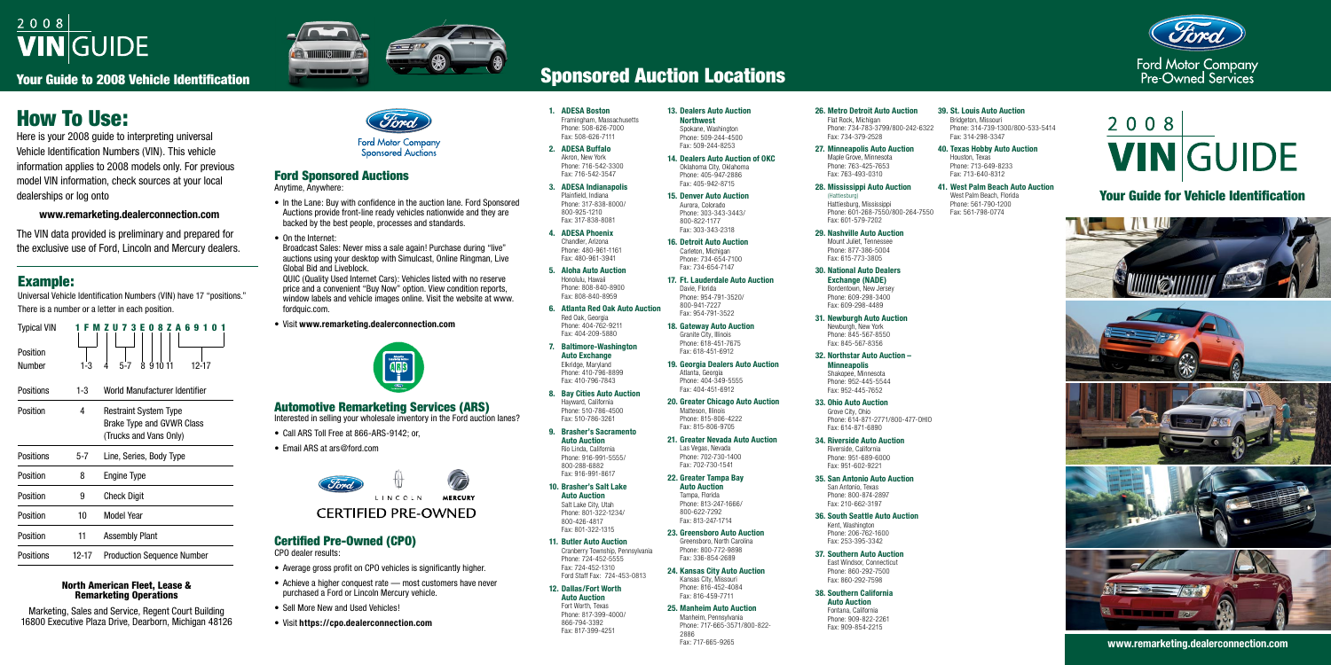# $2008$ **VIN**GUIDE

Your Guide to 2008 Vehicle Identification



# Your Guide for Vehicle Identification











**www.remarketing.dealerconnection.com**

# How To Use:

Here is your 2008 guide to interpreting universal Vehicle Identification Numbers (VIN). This vehicle information applies to 2008 models only. For previous model VIN information, check sources at your local dealerships or log onto

### **www.remarketing.dealerconnection.com**

The VIN data provided is preliminary and prepared for the exclusive use of Ford, Lincoln and Mercury dealers.

- **1. ADESA Boston** Framingham, Massachusetts Phone: 508-626-7000 Fax: 508-626-7111
- **2. ADESA Buffalo** Akron, New York Phone: 716-542-3300 Fax: 716-542-3547
- **3. ADESA Indianapolis** Plainfield, Indiana Phone: 317-838-8000/ 800-925-1210 Fax: 317-838-8081
- **4. ADESA Phoenix** Chandler, Arizona Phone: 480-961-1161 Fax: 480-961-3941
- **5. Aloha Auto Auction** Honolulu, Hawaii Phone: 808-840-8900 Fax: 808-840-8959
- **6. Atlanta Red Oak Auto Auction** Red Oak, Georgia Phone: 404-762-9211 Fax: 404-209-5880
- **7. Baltimore-Washington Auto Exchange** Elkridge, Maryland Phone: 410-796-8899 Fax: 410-796-7843
- **8. Bay Cities Auto Auction** Hayward, California Phone: 510-786-4500 Fax: 510-786-3261
- **9. Brasher's Sacramento Auto Auction** Rio Linda, California Phone: 916-991-5555/ 800-288-6882 Fax: 916-991-8617
- **10. Brasher's Salt Lake Auto Auction** Salt Lake City, Utah Phone: 801-322-1234/ 800-426-4817 Fax: 801-322-1315
- **11. Butler Auto Auction** Cranberry Township, Pennsylvania Phone: 724-452-5555 Fax: 724-452-1310 Ford Staff Fax: 724-453-0813

#### **26. Metro Detroit Auto Auction** Flat Rock, Michigan

**12. Dallas/Fort Worth Auto Auction** Fort Worth, Texas Phone: 817-399-4000/ 866-794-3392

Fax: 817-399-4251

#### **13. Dealers Auto Auction Northwest** Spokane, Washington Phone: 509-244-4500 Fax: 509-244-8253

- **14. Dealers Auto Auction of OKC** Oklahoma City, Oklahoma Phone: 405-947-2886 Fax: 405-942-8715
- **15. Denver Auto Auction** Aurora, Colorado Phone: 303-343-3443/ 800-822-1177 Fax: 303-343-2318
- **16. Detroit Auto Auction** Carleton, Michigan Phone: 734-654-7100 Fax: 734-654-7147
- **17. Ft. Lauderdale Auto Auction** Davie, Florida Phone: 954-791-3520/ 800-941-7227 Fax: 954-791-3522
- **18. Gateway Auto Auction** Granite City, Illinois Phone: 618-451-7675 Fax: 618-451-6912
- **19. Georgia Dealers Auto Auction** Atlanta, Georgia Phone: 404-349-5555 Fax: 404-451-6912
- **20. Greater Chicago Auto Auction** Matteson, Illinois Phone: 815-806-4222 Fax: 815-806-9705
- **21. Greater Nevada Auto Auction** Las Vegas, Nevada Phone: 702-730-1400 Fax: 702-730-1541

**22. Greater Tampa Bay Auto Auction** Tampa, Florida Phone: 813-247-1666/ 800-622-7292 Fax: 813-247-1714

- In the Lane: Buy with confidence in the auction lane. Ford Sponsored Auctions provide front-line ready vehicles nationwide and they are backed by the best people, processes and standards.
- On the Internet:

- **23. Greensboro Auto Auction** Greensboro, North Carolina Phone: 800-772-9898 Fax: 336-854-2689
- **24. Kansas City Auto Auction** Kansas City, Missouri Phone: 816-452-4084 Fax: 816-459-7711
- **25. Manheim Auto Auction** Manheim, Pennsylvania Phone: 717-665-3571/800-822- 2886 Fax: 717-665-9265

QUIC (Quality Used Internet Cars): Vehicles listed with no reserve price and a convenient "Buy Now" option. View condition reports, window labels and vehicle images online. Visit the website at www. fordquic.com.

Phone: 734-783-3799/800-242-6322 Fax: 734-379-2528

#### **27. Minneapolis Auto Auction** Maple Grove, Minnesota Phone: 763-425-7653 Fax: 763-493-0310

#### **28. Mississippi Auto Auction** (Hattiesburg)

Hattiesburg, Mississippi Phone: 601-268-7550/800-264-7550 Fax: 601-579-7202

#### **29. Nashville Auto Auction**

Mount Juliet, Tennessee Phone: 877-386-5004 Fax: 615-773-3805

#### **30. National Auto Dealers Exchange (NADE)**

Bordentown, New Jersey Phone: 609-298-3400 Fax: 609-298-4489

#### **31. Newburgh Auto Auction**

Newburgh, New York Phone: 845-567-8550 Fax: 845-567-8356

#### **32. Northstar Auto Auction – Minneapolis**

Shakopee, Minnesota Phone: 952-445-5544 Fax: 952-445-7652

#### **33. Ohio Auto Auction**

Grove City, Ohio Phone: 614-871-2771/800-477-OHIO Fax: 614-871-6890

#### **34. Riverside Auto Auction**

Riverside, California Phone: 951-689-6000 Fax: 951-602-9221

#### **35. San Antonio Auto Auction**

San Antonio, Texas Phone: 800-874-2897 Fax: 210-662-3197

#### **36. South Seattle Auto Auction**

Kent, Washington Phone: 206-762-1600 Fax: 253-395-3342

#### **37. Southern Auto Auction**

East Windsor, Connecticut Phone: 860-292-7500 Fax: 860-292-7598



Ford Motor Company<br>Pre-Owned Services

#### **38. Southern California**

**Auto Auction**

Fontana, California Phone: 909-822-2261 Fax: 909-854-2215

#### **39. St. Louis Auto Auction** Bridgeton, Missouri Phone: 314-739-1300/800-533-5414 Fax: 314-298-3347

- **40. Texas Hobby Auto Auction** Houston, Texas Phone: 713-649-8233 Fax: 713-640-8312
- **41. West Palm Beach Auto Auction** West Palm Beach, Florida Phone: 561-790-1200 Fax: 561-798-0774

# 2008 **VIN** GUIDE

# Example:

Universal Vehicle Identification Numbers (VIN) have 17 "positions." There is a number or a letter in each position.

| <b>Typical VIN</b> |       | <b>E 0 8 Z A 6</b><br>II 7<br>з<br>q                                                |
|--------------------|-------|-------------------------------------------------------------------------------------|
| Position<br>Number | 1-3   | 91011<br>5-7<br>12-17<br>8                                                          |
| Positions          | 1-3   | World Manufacturer Identifier                                                       |
| Position           | 4     | <b>Restraint System Type</b><br>Brake Type and GVWR Class<br>(Trucks and Vans Only) |
| Positions          | 5-7   | Line, Series, Body Type                                                             |
| Position           | 8     | <b>Engine Type</b>                                                                  |
| Position           | 9     | <b>Check Digit</b>                                                                  |
| Position           | 10    | Model Year                                                                          |
| Position           | 11    | <b>Assembly Plant</b>                                                               |
| Positions          | 12-17 | <b>Production Sequence Number</b>                                                   |

#### North American Fleet, Lease & Remarketing Operations

Marketing, Sales and Service, Regent Court Building 16800 Executive Plaza Drive, Dearborn, Michigan 48126



**Ford Motor Company Sponsored Auctions** 

# Sponsored Auction Locations

# Ford Sponsored Auctions

Anytime, Anywhere:

Broadcast Sales: Never miss a sale again! Purchase during "live" auctions using your desktop with Simulcast, Online Ringman, Live Global Bid and Liveblock.

• Visit **www.remarketing.dealerconnection.com**



## Automotive Remarketing Services (ARS)

Interested in selling your wholesale inventory in the Ford auction lanes?

- Call ARS Toll Free at 866-ARS-9142; or,
- Email ARS at ars@ford.com



# **CERTIFIED PRE-OWNED**

# Certified Pre-Owned (CPO)

CPO dealer results:

- Average gross profit on CPO vehicles is significantly higher.
- Achieve a higher conquest rate most customers have never purchased a Ford or Lincoln Mercury vehicle.
- Sell More New and Used Vehicles!
- Visit **https://cpo.dealerconnection.com**